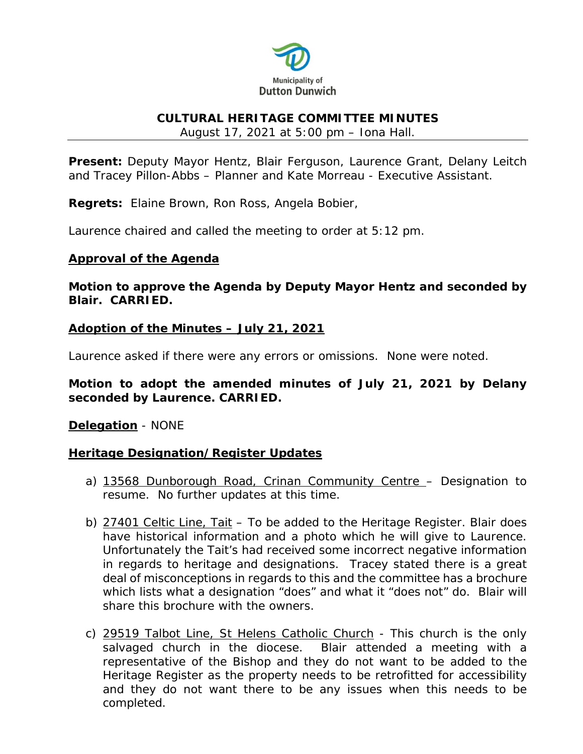

#### **CULTURAL HERITAGE COMMITTEE MINUTES**

August 17, 2021 at 5:00 pm – Iona Hall.

**Present:** Deputy Mayor Hentz, Blair Ferguson, Laurence Grant, Delany Leitch and Tracey Pillon-Abbs – Planner and Kate Morreau - Executive Assistant.

**Regrets:** Elaine Brown, Ron Ross, Angela Bobier,

Laurence chaired and called the meeting to order at 5:12 pm.

## **Approval of the Agenda**

**Motion to approve the Agenda by Deputy Mayor Hentz and seconded by Blair. CARRIED.**

## **Adoption of the Minutes – July 21, 2021**

Laurence asked if there were any errors or omissions. None were noted.

**Motion to adopt the amended minutes of July 21, 2021 by Delany seconded by Laurence. CARRIED.** 

**Delegation** - NONE

# **Heritage Designation/Register Updates**

- a) 13568 Dunborough Road, Crinan Community Centre Designation to resume. No further updates at this time.
- b) 27401 Celtic Line, Tait To be added to the Heritage Register. Blair does have historical information and a photo which he will give to Laurence. Unfortunately the Tait's had received some incorrect negative information in regards to heritage and designations. Tracey stated there is a great deal of misconceptions in regards to this and the committee has a brochure which lists what a designation "does" and what it "does not" do. Blair will share this brochure with the owners.
- c) 29519 Talbot Line, St Helens Catholic Church This church is the only salvaged church in the diocese. Blair attended a meeting with a representative of the Bishop and they do not want to be added to the Heritage Register as the property needs to be retrofitted for accessibility and they do not want there to be any issues when this needs to be completed.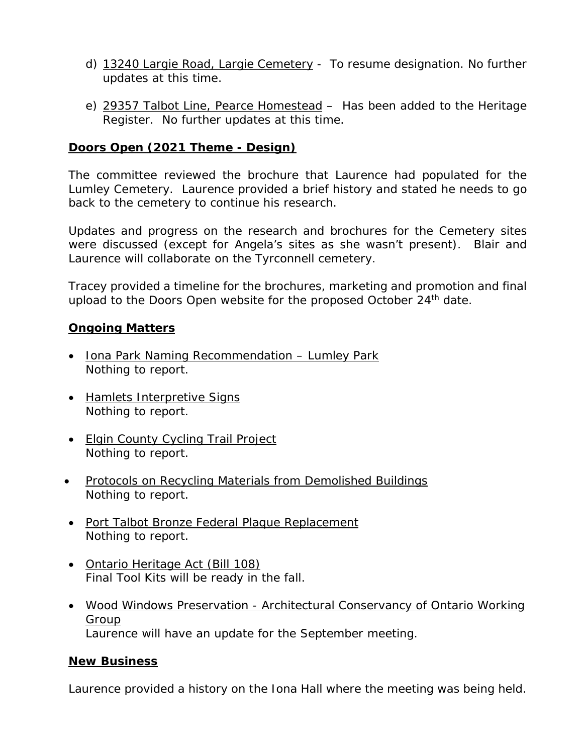- d) 13240 Largie Road, Largie Cemetery To resume designation. No further updates at this time.
- e) 29357 Talbot Line, Pearce Homestead Has been added to the Heritage Register. No further updates at this time.

## **Doors Open (2021 Theme - Design)**

The committee reviewed the brochure that Laurence had populated for the Lumley Cemetery. Laurence provided a brief history and stated he needs to go back to the cemetery to continue his research.

Updates and progress on the research and brochures for the Cemetery sites were discussed (except for Angela's sites as she wasn't present). Blair and Laurence will collaborate on the Tyrconnell cemetery.

Tracey provided a timeline for the brochures, marketing and promotion and final upload to the Doors Open website for the proposed October 24<sup>th</sup> date.

## **Ongoing Matters**

- Iona Park Naming Recommendation Lumley Park Nothing to report.
- Hamlets Interpretive Signs Nothing to report.
- Elgin County Cycling Trail Project Nothing to report.
- Protocols on Recycling Materials from Demolished Buildings Nothing to report.
- Port Talbot Bronze Federal Plaque Replacement Nothing to report.
- Ontario Heritage Act (Bill 108) Final Tool Kits will be ready in the fall.
- Wood Windows Preservation Architectural Conservancy of Ontario Working Group Laurence will have an update for the September meeting.

#### **New Business**

Laurence provided a history on the Iona Hall where the meeting was being held.